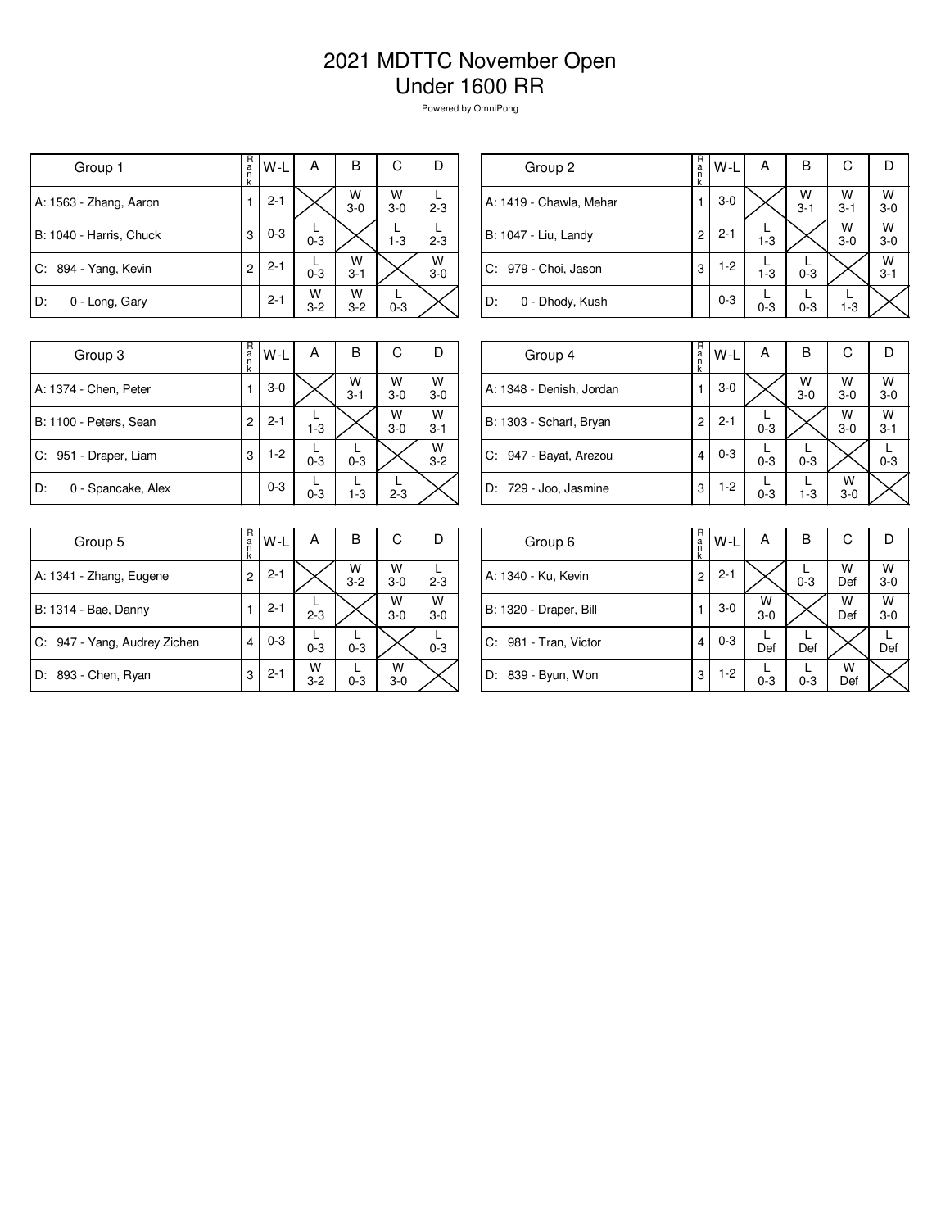## 2021 MDTTC November Open Under 1600 RR

Powered by OmniPong

| Group 1                 | R<br>a<br>n<br>k | W-L     | А            | B            | С          | Ð          |
|-------------------------|------------------|---------|--------------|--------------|------------|------------|
| A: 1563 - Zhang, Aaron  |                  | $2 - 1$ |              | W<br>$3-0$   | W<br>$3-0$ | $2 - 3$    |
| B: 1040 - Harris, Chuck | 3                | $0 - 3$ | $0 - 3$      |              | $1 - 3$    | $2 - 3$    |
| C: 894 - Yang, Kevin    | $\overline{c}$   | $2 - 1$ | $0 - 3$      | W<br>$3 - 1$ |            | W<br>$3-0$ |
| D:<br>0 - Long, Gary    |                  | $2 - 1$ | W<br>$3 - 2$ | W<br>$3-2$   | $0 - 3$    |            |

| Group 2                 | $R_{a}$<br>k | W-L     | А       | В                  | С            |                    |
|-------------------------|--------------|---------|---------|--------------------|--------------|--------------------|
| A: 1419 - Chawla, Mehar | 1            | $3-0$   |         | $W$ <sub>3-1</sub> | W<br>$3 - 1$ | $W$ <sub>3-0</sub> |
| B: 1047 - Liu, Landy    | 2            | $2 - 1$ | $1 - 3$ |                    | W<br>$3-0$   | $W$<br>3-0         |
| C: 979 - Choi, Jason    | 3            | $1-2$   | $1 - 3$ | $0 - 3$            |              | $W$ <sub>3-1</sub> |
| D:<br>0 - Dhody, Kush   |              | $0 - 3$ | $0 - 3$ | $0 - 3$            | $1 - 3$      |                    |
|                         |              |         |         |                    |              |                    |

| Group 3                  | R<br>a<br>k | W-L     | А       | в            | С          |                    |
|--------------------------|-------------|---------|---------|--------------|------------|--------------------|
| A: 1374 - Chen, Peter    |             | $3-0$   |         | W<br>$3 - 1$ | W<br>$3-0$ | W<br>$3-0$         |
| B: 1100 - Peters, Sean   | 2           | $2 - 1$ | $1 - 3$ |              | W<br>$3-0$ | $W$ <sub>3-1</sub> |
| C: 951 - Draper, Liam    | 3           | $1 - 2$ | $0 - 3$ | $0 - 3$      |            | W<br>$3 - 2$       |
| D:<br>0 - Spancake, Alex |             | $0 - 3$ | $0 - 3$ | $1 - 3$      | $2 - 3$    |                    |

| Group 4                  | R<br>a<br>k | $W-L$   | А       | B            | C          |              |
|--------------------------|-------------|---------|---------|--------------|------------|--------------|
| A: 1348 - Denish, Jordan |             | $3-0$   |         | W<br>$3 - 0$ | W<br>$3-0$ | W<br>$3 - 0$ |
| B: 1303 - Scharf, Bryan  | 2           | $2 - 1$ | $0 - 3$ |              | W<br>$3-0$ | W<br>$3 - 1$ |
| C: 947 - Bayat, Arezou   | 4           | $0 - 3$ | $0 - 3$ | $0 - 3$      |            | $0 - 3$      |
| D: 729 - Joo, Jasmine    | 3           | $1-2$   | $0 - 3$ | $1 - 3$      | W<br>$3-0$ |              |

| Group 5                      | R<br>a<br>k | W-L     | А            | B            | С          | D          |
|------------------------------|-------------|---------|--------------|--------------|------------|------------|
| A: 1341 - Zhang, Eugene      | 2           | $2 - 1$ |              | W<br>$3 - 2$ | W<br>$3-0$ | $2 - 3$    |
| B: 1314 - Bae, Danny         | 1           | $2 - 1$ | $2 - 3$      |              | W<br>$3-0$ | W<br>$3-0$ |
| C: 947 - Yang, Audrey Zichen | 4           | $0 - 3$ | $0 - 3$      | $0 - 3$      |            | $0 - 3$    |
| D: 893 - Chen, Ryan          | 3           | $2 - 1$ | W<br>$3 - 2$ | $0 - 3$      | W<br>$3-0$ |            |

| Group 6                | R<br>$\frac{a}{n}$<br>k | W-L     | А            | в       | С        |              |
|------------------------|-------------------------|---------|--------------|---------|----------|--------------|
| A: 1340 - Ku, Kevin    | 2                       | $2 - 1$ |              | $0 - 3$ | W<br>Def | W<br>$3 - 0$ |
| B: 1320 - Draper, Bill |                         | $3-0$   | W<br>$3 - 0$ |         | W<br>Def | W<br>$3 - 0$ |
| C: 981 - Tran, Victor  | 4                       | $0 - 3$ | Def          | Def     |          | Def          |
| D: 839 - Byun, Won     | 3                       | 1-2     | $0 - 3$      | $0 - 3$ | W<br>Def |              |